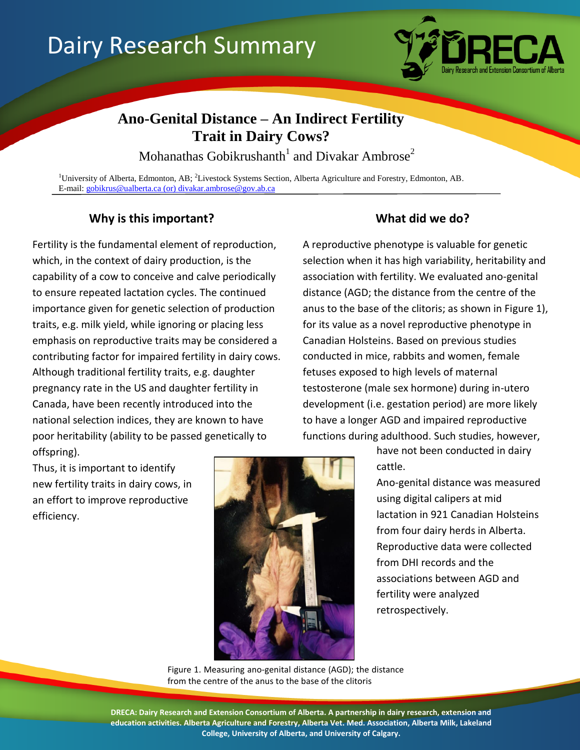# Dairy Research Summary



# **Ano-Genital Distance – An Indirect Fertility Trait in Dairy Cows?**

Mohanathas Gobikrushanth<sup>1</sup> and Divakar Ambrose<sup>2</sup>

<sup>1</sup>University of Alberta, Edmonton, AB; <sup>2</sup>Livestock Systems Section, Alberta Agriculture and Forestry, Edmonton, AB. E-mail: [gobikrus@ualberta.ca](mailto:gobikrus@ualberta.ca) (or) divakar.ambrose@gov.ab.ca

## **Why is this important? What did we do?**

Fertility is the fundamental element of reproduction, which, in the context of dairy production, is the capability of a cow to conceive and calve periodically to ensure repeated lactation cycles. The continued importance given for genetic selection of production traits, e.g. milk yield, while ignoring or placing less emphasis on reproductive traits may be considered a contributing factor for impaired fertility in dairy cows. Although traditional fertility traits, e.g. daughter pregnancy rate in the US and daughter fertility in Canada, have been recently introduced into the national selection indices, they are known to have poor heritability (ability to be passed genetically to offspring).

A reproductive phenotype is valuable for genetic selection when it has high variability, heritability and association with fertility. We evaluated ano-genital distance (AGD; the distance from the centre of the anus to the base of the clitoris; as shown in Figure 1), for its value as a novel reproductive phenotype in Canadian Holsteins. Based on previous studies conducted in mice, rabbits and women, female fetuses exposed to high levels of maternal testosterone (male sex hormone) during in-utero development (i.e. gestation period) are more likely to have a longer AGD and impaired reproductive functions during adulthood. Such studies, however,

> have not been conducted in dairy cattle.

Ano-genital distance was measured using digital calipers at mid lactation in 921 Canadian Holsteins from four dairy herds in Alberta. Reproductive data were collected from DHI records and the associations between AGD and fertility were analyzed retrospectively.

Thus, it is important to identify new fertility traits in dairy cows, in an effort to improve reproductive efficiency.



Figure 1. Measuring ano-genital distance (AGD); the distance from the centre of the anus to the base of the clitoris

**DRECA: Dairy Research and Extension Consortium of Alberta. A partnership in dairy research, extension and education activities. Alberta Agriculture and Forestry, Alberta Vet. Med. Association, Alberta Milk, Lakeland College, University of Alberta, and University of Calgary.**